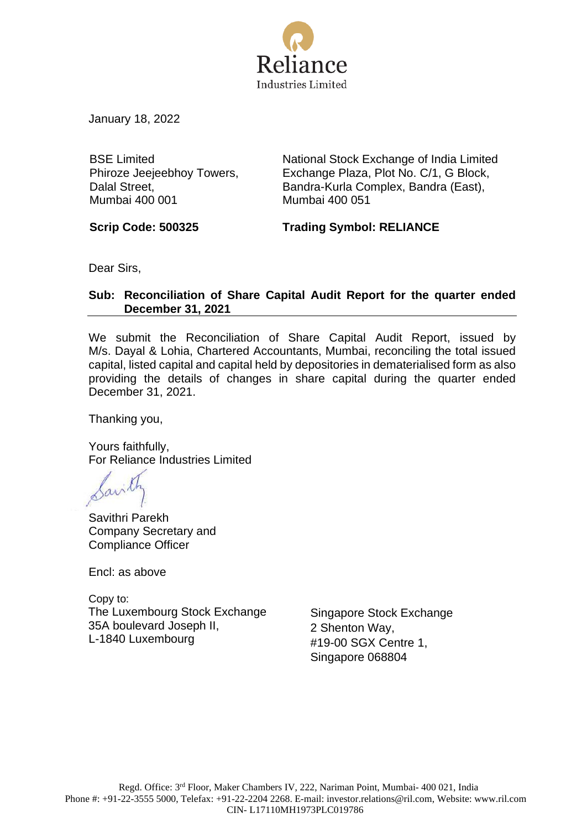

January 18, 2022

BSE Limited Phiroze Jeejeebhoy Towers, Dalal Street, Mumbai 400 001

National Stock Exchange of India Limited Exchange Plaza, Plot No. C/1, G Block, Bandra-Kurla Complex, Bandra (East), Mumbai 400 051

**Scrip Code: 500325 Trading Symbol: RELIANCE**

Dear Sirs,

## **Sub: Reconciliation of Share Capital Audit Report for the quarter ended December 31, 2021**

We submit the Reconciliation of Share Capital Audit Report, issued by M/s. Dayal & Lohia, Chartered Accountants, Mumbai, reconciling the total issued capital, listed capital and capital held by depositories in dematerialised form as also providing the details of changes in share capital during the quarter ended December 31, 2021.

Thanking you,

Yours faithfully, For Reliance Industries Limited

Savithri Parekh Company Secretary and Compliance Officer

Encl: as above

Copy to: The Luxembourg Stock Exchange 35A boulevard Joseph II, L-1840 Luxembourg

Singapore Stock Exchange 2 Shenton Way, #19-00 SGX Centre 1, Singapore 068804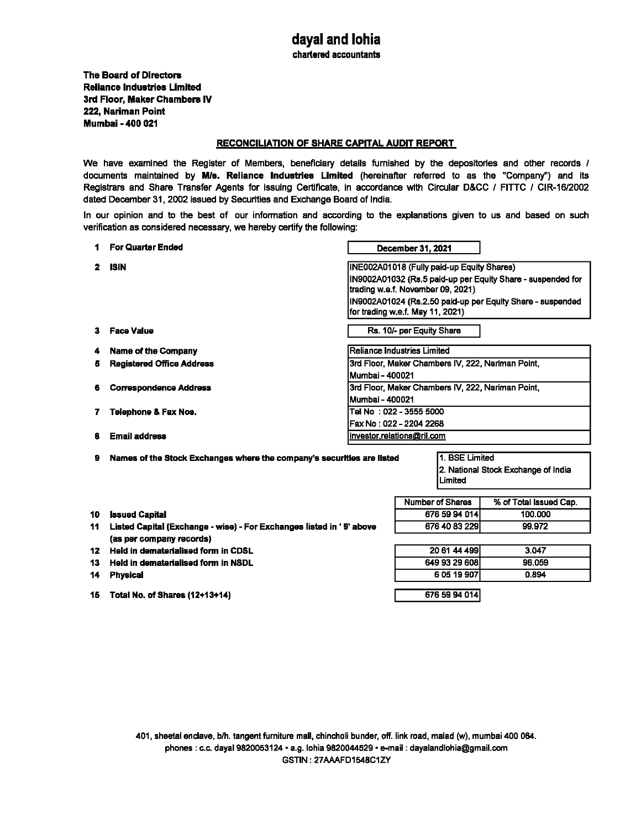chartered accountants

The Board of Directors Reliance lndustriee Limited 3rd Floor, Maker Chambers IV 222, Nariman Point Mumbai - 400 021

## RECONCILIATION OF SHARE CAPITAL AUDIT REPORT

We have examined the Register of Members, beneficiary details furnished by the depositories and other records / documents maintained by M/s. Reliance Industries Limited (hereinafter referred to as the "Company") and its Registrars and Share Transfer Agents for issuing Certificate, in accordance with Circular D&CC / FITTC / CIR-16/2002 dated December 31, 2002 issued by Securities and Exchange Board of India.

In our opinion and to the best of our information and according to the explanations given to us and based on such verification as considered necessary, we hereby certify the following:

|                | <b>For Quarter Ended</b>                                               |                                                   | December 31, 2021                 |                                                             |  |
|----------------|------------------------------------------------------------------------|---------------------------------------------------|-----------------------------------|-------------------------------------------------------------|--|
| $\overline{2}$ | <b>ISIN</b>                                                            | INE002A01018 (Fully paid-up Equity Shares)        |                                   |                                                             |  |
|                |                                                                        |                                                   |                                   | IN9002A01032 (Rs.5 paid-up per Equity Share - suspended for |  |
|                |                                                                        |                                                   | trading w.e.f. November 09, 2021) |                                                             |  |
|                |                                                                        |                                                   |                                   | IN9002A01024 (Rs.2.50 paid-up per Equity Share - suspended  |  |
|                |                                                                        |                                                   | for trading w.e.f. May 11, 2021)  |                                                             |  |
| 3              | Face Value                                                             | Rs. 10/- per Equity Share                         |                                   |                                                             |  |
| 4              | <b>Name of the Company</b>                                             | Reliance Industries Limited                       |                                   |                                                             |  |
| 5              | <b>Registered Office Address</b>                                       | 3rd Floor, Maker Chambers IV, 222, Nariman Point, |                                   |                                                             |  |
|                |                                                                        | Mumbai - 400021                                   |                                   |                                                             |  |
| 6              | <b>Correspondence Address</b>                                          | 3rd Floor, Maker Chambers IV, 222, Nariman Point, |                                   |                                                             |  |
|                |                                                                        | Mumbai - 400021                                   |                                   |                                                             |  |
| 7.             | Telephone & Fax Nos.                                                   | Tel No : 022 - 3555 5000                          |                                   |                                                             |  |
|                |                                                                        | Fax No: 022 - 2204 2268                           |                                   |                                                             |  |
| 8              | <b>Email address</b>                                                   | investor.relations@ril.com                        |                                   |                                                             |  |
|                |                                                                        |                                                   |                                   |                                                             |  |
| 9              | Names of the Stock Exchanges where the company's securities are listed |                                                   | 1. BSE Limited                    |                                                             |  |
|                |                                                                        |                                                   |                                   | 2. National Stock Exchange of India                         |  |
|                |                                                                        |                                                   | Limited                           |                                                             |  |
|                |                                                                        |                                                   | Number of Shares                  | % of Total Issued Cap.                                      |  |
| 10             | <b>Issued Capital</b>                                                  |                                                   | 676 59 94 014                     | 100.000                                                     |  |
| 11             | Listed Capital (Exchange - wise) - For Exchanges listed in '9' above   |                                                   | 676 40 83 229                     | 99.972                                                      |  |
|                | (as per company records)                                               |                                                   |                                   |                                                             |  |
| 12             | Hald in dematarialised form in CDSL                                    |                                                   | 20 61 44 499                      | 3.047                                                       |  |
| 13             | Held in dematerialised form in NSDL                                    |                                                   | 649 93 29 608                     | 96.059                                                      |  |
| 14             | <b>Physical</b>                                                        |                                                   | 605 19 907                        | 0.894                                                       |  |
|                |                                                                        |                                                   |                                   |                                                             |  |
| 15             | Total No. of Shares (12+13+14)                                         |                                                   | 676 59 94 014                     |                                                             |  |

401, sheetal enclave, blh. tangent furniture mall, chincholi bunder, off. link road, malad (w), mumbai 400 064. phones : c.c. dayal 9820053124 · a.g. lohia 9820044529 · e-mail : dayalandlohia@gmail.com GSTIN: 27AAAFD1548C1ZV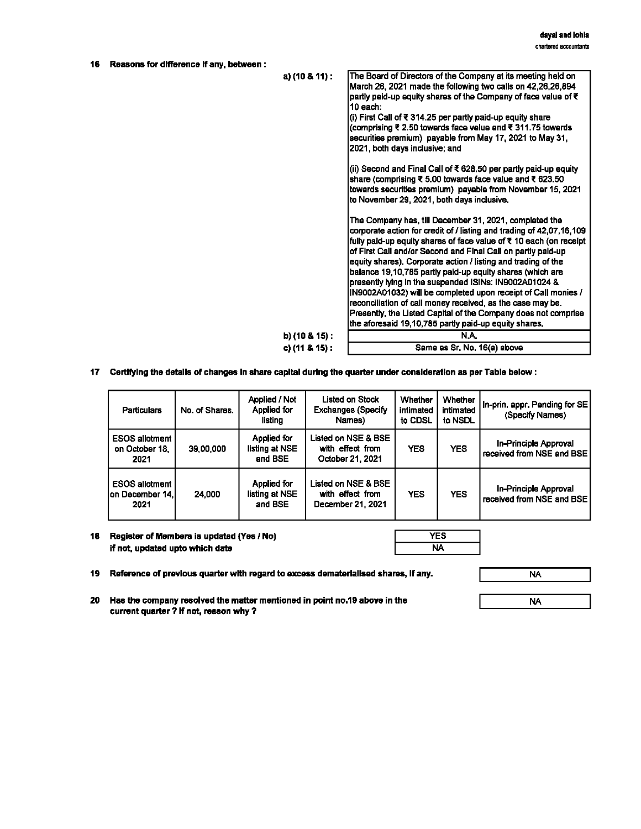| 16 | Reasons for difference if any, between : |                  |                                                                                                                                                                                                                                                                                                                                                                                                                                                                                                                                                                                                                                                                                                                        |
|----|------------------------------------------|------------------|------------------------------------------------------------------------------------------------------------------------------------------------------------------------------------------------------------------------------------------------------------------------------------------------------------------------------------------------------------------------------------------------------------------------------------------------------------------------------------------------------------------------------------------------------------------------------------------------------------------------------------------------------------------------------------------------------------------------|
|    |                                          | a) $(10.8.11)$ : | The Board of Directors of the Company at its meeting held on<br>March 26, 2021 made the following two calls on 42,26,26,894<br>partly paid-up equity shares of the Company of face value of ₹<br>10 each:<br>(i) First Call of ₹ 314.25 per partly paid-up equity share<br>(comprising ₹ 2.50 towards face value and ₹ 311.75 towards<br>securities premium) payable from May 17, 2021 to May 31,<br>2021, both days inclusive; and                                                                                                                                                                                                                                                                                    |
|    |                                          |                  | (ii) Second and Final Call of $\bar{x}$ 628,50 per partly paid-up equity<br>share (comprising ₹ 5.00 towards face value and ₹ 623.50<br>towards securities premium) payable from November 15, 2021<br>to November 29, 2021, both days inclusive.                                                                                                                                                                                                                                                                                                                                                                                                                                                                       |
|    |                                          |                  | The Company has, till December 31, 2021, completed the<br>corporate action for credit of / listing and trading of 42,07,16,109<br>fully paid-up equity shares of face value of ₹ 10 each (on receipt<br>of First Call and/or Second and Final Call on partly paid-up<br>equity shares). Corporate action / listing and trading of the<br>balance 19,10,785 partly paid-up equity shares (which are<br>presently lying in the suspended ISINs: IN9002A01024 &<br>[N9002A01032) will be completed upon receipt of Call monies /<br>reconciliation of call money received, as the case may be.<br>Presently, the Listed Capital of the Company does not comprise<br>the aforesaid 19,10,785 partly paid-up equity shares. |
|    |                                          | b) (10 & 15) :   | N.A.                                                                                                                                                                                                                                                                                                                                                                                                                                                                                                                                                                                                                                                                                                                   |
|    |                                          | c) (11 & 15) :   | Same as Sr. No. 16(a) above                                                                                                                                                                                                                                                                                                                                                                                                                                                                                                                                                                                                                                                                                            |

17 Certifying the details of changes in share capital during the quarter under consideration as per Table below:

| <b>Particulars</b>                                 | No. of Shares. | Applied / Not<br>Applied for<br>listing  | Listed on Stock<br><b>Exchanges (Specify</b><br>Names)       | Whether<br>intimated<br>to CDSL | Whether<br>intimated<br>to NSDL | In-prin, appr. Pending for SE<br>(Specify Names)          |
|----------------------------------------------------|----------------|------------------------------------------|--------------------------------------------------------------|---------------------------------|---------------------------------|-----------------------------------------------------------|
| <b>ESOS allotment</b><br>on October 18.<br>2021    | 39,00,000      | Applied for<br>listing at NSE<br>and BSE | Listed on NSE & BSE<br>with effect from<br>October 21, 2021  | <b>YES</b>                      | <b>YES</b>                      | <b>In-Principle Approval</b><br>received from NSE and BSE |
| <b>ESOS allotment</b><br>Ion December 14.I<br>2021 | 24,000         | Applied for<br>listing at NSE<br>and BSE | Listed on NSE & BSE<br>with effect from<br>December 21, 2021 | <b>YES</b>                      | <b>YES</b>                      | In-Principle Approval<br>received from NSE and BSE        |

18 Register of Members is updated (Yes / No) if not, updatad upto which date

| B |
|---|

**19 Reference of previous quarter with regard to excess dematerlallsed shares, If any.** 

NA

**20 Has the company resolved the matter mentioned in point no.19 above in the current quarter ? If not, reason why** ?

NA